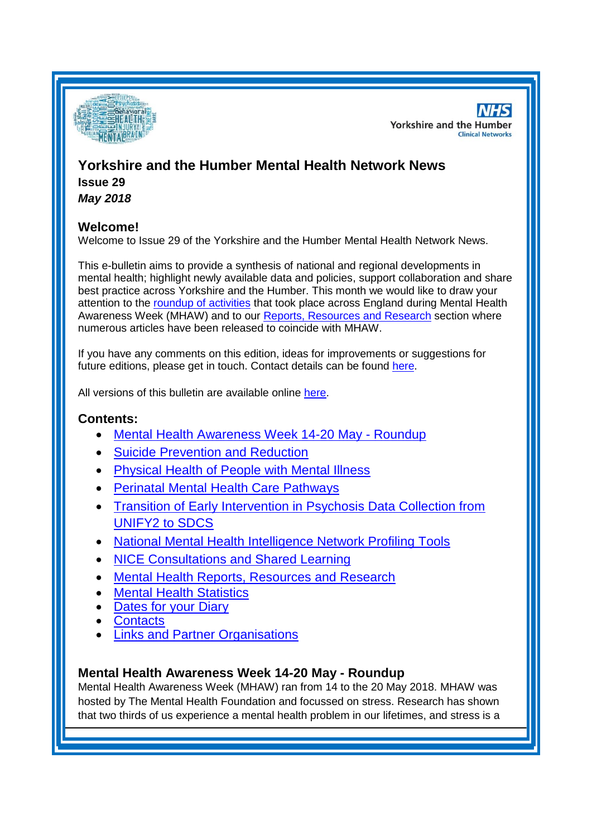

**NHS Yorkshire and the Humber Clinical Networks** 

# **Yorkshire and the Humber Mental Health Network News**

**Issue 29** *May 2018*

# **Welcome!**

Welcome to Issue 29 of the Yorkshire and the Humber Mental Health Network News.

This e-bulletin aims to provide a synthesis of national and regional developments in mental health; highlight newly available data and policies, support collaboration and share best practice across Yorkshire and the Humber. This month we would like to draw your attention to the [roundup of activities](#page-0-0) that took place across England during Mental Health Awareness Week (MHAW) and to our [Reports, Resources and Research](#page-0-1) section where numerous articles have been released to coincide with MHAW.

If you have any comments on this edition, ideas for improvements or suggestions for future editions, please get in touch. Contact details can be found [here.](#page-6-0)

All versions of this bulletin are available online [here.](http://www.yhscn.nhs.uk/mental-health-clinic/mental-health-network/MH-documents-and-links.php)

## **Contents:**

- [Mental Health Awareness Week 14-20 May -](#page-0-0) Roundup
- [Suicide Prevention and Reduction](#page-1-0)
- [Physical Health of People with Mental Illness](#page-1-1)
- [Perinatal Mental Health Care Pathways](#page-2-0)
- [Transition of Early Intervention in Psychosis Data Collection from](#page-2-1)  [UNIFY2 to SDCS](#page-2-1)
- [National Mental Health Intelligence Network Profiling](#page-0-0) Tools
- [NICE Consultations and Shared Learning](#page-2-2)
- [Mental Health Reports, Resources and Research](#page-0-1)
- [Mental Health Statistics](#page-4-0)
- [Dates for your Diary](#page-4-1)
- **[Contacts](#page-6-0)**
- [Links and Partner Organisations](#page-6-1)

# <span id="page-0-1"></span><span id="page-0-0"></span>**Mental Health Awareness Week 14-20 May - Roundup**

Mental Health Awareness Week (MHAW) ran from 14 to the 20 May 2018. MHAW was hosted by The Mental Health Foundation and focussed on stress. Research has shown that two thirds of us experience a mental health problem in our lifetimes, and stress is a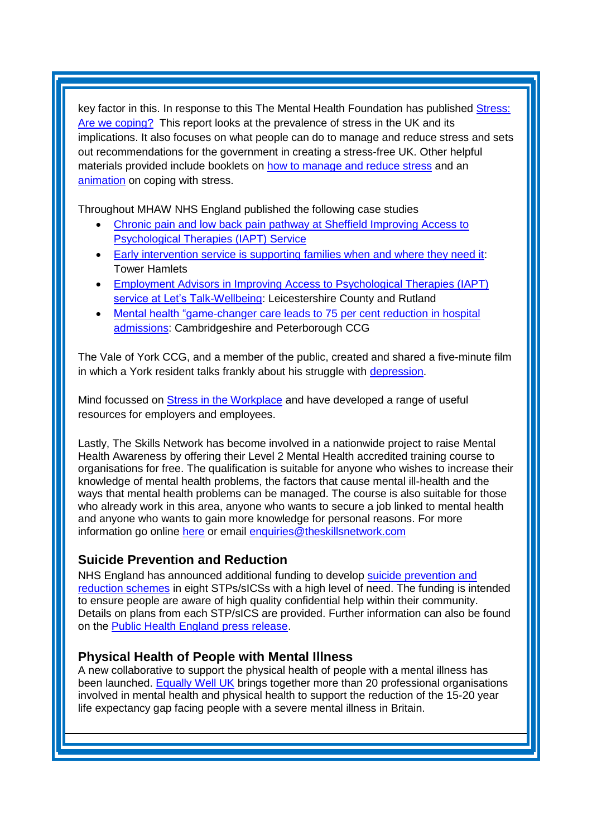key factor in this. In response to this The Mental Health Foundation has published [Stress:](https://www.mentalhealth.org.uk/publications/stress-are-we-coping)  [Are we coping?](https://www.mentalhealth.org.uk/publications/stress-are-we-coping) This report looks at the prevalence of stress in the UK and its implications. It also focuses on what people can do to manage and reduce stress and sets out recommendations for the government in creating a stress-free UK. Other helpful materials provided include booklets on [how to manage and reduce stress](https://www.mentalhealth.org.uk/publications/how-manage-and-reduce-stress) and an [animation](https://www.mentalhealth.org.uk/podcasts-and-videos/animation-stress-are-we-coping) on coping with stress.

Throughout MHAW NHS England published the following case studies

- [Chronic pain and low back pain pathway at Sheffield Improving Access to](https://www.england.nhs.uk/mental-health/case-studies/chronic-pain-and-low-back-pain-pathway-at-sheffield-improving-access-to-psychological-therapies-iapt-service/)  [Psychological Therapies \(IAPT\) Service](https://www.england.nhs.uk/mental-health/case-studies/chronic-pain-and-low-back-pain-pathway-at-sheffield-improving-access-to-psychological-therapies-iapt-service/)
- [Early intervention service is supporting families when and where they need it:](https://www.england.nhs.uk/publication/early-intervention-service-is-supporting-families-when-and-where-they-need-it/) Tower Hamlets
- [Employment Advisors in Improving Access to Psychological Therapies \(IAPT\)](https://www.england.nhs.uk/publication/employment-advisors-in-improving-access-to-psychological-therapies-iapt-service-at-lets-talk-wellbeing/)  [service at Let's Talk-Wellbeing:](https://www.england.nhs.uk/publication/employment-advisors-in-improving-access-to-psychological-therapies-iapt-service-at-lets-talk-wellbeing/) Leicestershire County and Rutland
- Mental health "game-changer care leads to 75 per cent reduction in hospital [admissions:](https://www.england.nhs.uk/2018/05/mental-health-game-changer-care-leads-to-75-reduction-in-hospital-admissions/) Cambridgeshire and Peterborough CCG

The Vale of York CCG, and a member of the public, created and shared a five-minute film in which a York resident talks frankly about his struggle with [depression.](http://www.valeofyorkccg.nhs.uk/latest-news/post/york-resident-ian-creates-film-to-help-other-depression-sufferers)

Mind focussed on [Stress in the Workplace](https://www.mind.org.uk/workplace/mental-health-awareness-week-2018/) and have developed a range of useful resources for employers and employees.

Lastly, The Skills Network has become involved in a nationwide project to raise Mental Health Awareness by offering their Level 2 Mental Health accredited training course to organisations for free. The qualification is suitable for anyone who wishes to increase their knowledge of mental health problems, the factors that cause mental ill-health and the ways that mental health problems can be managed. The course is also suitable for those who already work in this area, anyone who wants to secure a job linked to mental health and anyone who wants to gain more knowledge for personal reasons. For more information go online [here](https://www.theskillsnetwork.com/home-learning/courses/awareness-of-mental-health-problems-level-2) or email [enquiries@theskillsnetwork.com](mailto:enquiries@theskillsnetwork.com)

# <span id="page-1-0"></span>**Suicide Prevention and Reduction**

NHS England has announced additional funding to develop [suicide prevention and](https://www.england.nhs.uk/2018/05/suicide-prevention-and-reduction/)  [reduction schemes](https://www.england.nhs.uk/2018/05/suicide-prevention-and-reduction/) in eight STPs/sICSs with a high level of need. The funding is intended to ensure people are aware of high quality confidential help within their community. Details on plans from each STP/sICS are provided. Further information can also be found on the [Public Health England press release.](https://www.gov.uk/government/news/new-funding-for-suicide-prevention-in-england)

### <span id="page-1-1"></span>**Physical Health of People with Mental Illness**

A new collaborative to support the physical health of people with a mental illness has been launched. [Equally Well UK](https://www.centreformentalhealth.org.uk/equally-well) brings together more than 20 professional organisations involved in mental health and physical health to support the reduction of the 15-20 year life expectancy gap facing people with a severe mental illness in Britain.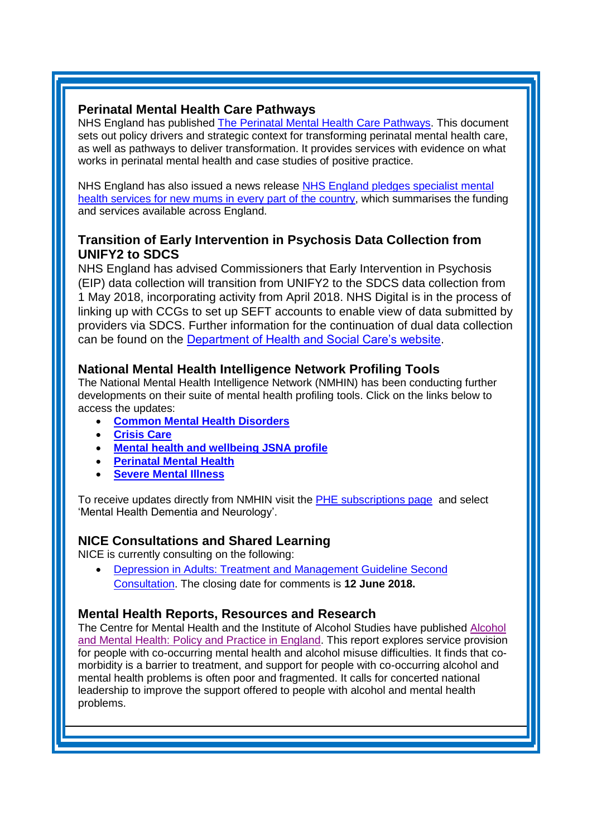## <span id="page-2-0"></span>**Perinatal Mental Health Care Pathways**

NHS England has published [The Perinatal Mental Health Care Pathways.](https://www.england.nhs.uk/publication/the-perinatal-mental-health-care-pathways/) This document sets out policy drivers and strategic context for transforming perinatal mental health care, as well as pathways to deliver transformation. It provides services with evidence on what works in perinatal mental health and case studies of positive practice.

NHS England has also issued a news release [NHS England pledges specialist mental](https://www.england.nhs.uk/2018/05/nhs-england-pledges-specialist-mental-health-services-for-new-mums-in-every-part-of-the-country/)  [health services for new mums in every part of the country,](https://www.england.nhs.uk/2018/05/nhs-england-pledges-specialist-mental-health-services-for-new-mums-in-every-part-of-the-country/) which summarises the funding and services available across England.

# <span id="page-2-1"></span>**Transition of Early Intervention in Psychosis Data Collection from UNIFY2 to SDCS**

NHS England has advised Commissioners that Early Intervention in Psychosis (EIP) data collection will transition from UNIFY2 to the SDCS data collection from 1 May 2018, incorporating activity from April 2018. NHS Digital is in the process of linking up with CCGs to set up SEFT accounts to enable view of data submitted by providers via SDCS. Further information for the continuation of dual data collection can be found on the [Department of Health and Social Care's website.](http://ccgbulletin.cmail19.com/t/d-l-ouldtkt-cdyegjt-k/)

# **National Mental Health Intelligence Network Profiling Tools**

The National Mental Health Intelligence Network (NMHIN) has been conducting further developments on their suite of mental health profiling tools. Click on the links below to access the updates:

- **[Common Mental Health Disorders](http://links.govdelivery.com/track?type=click&enid=ZWFzPTEmbXNpZD0mYXVpZD0mbWFpbGluZ2lkPTIwMTcxMjA1LjgxOTE2MDgxJm1lc3NhZ2VpZD1NREItUFJELUJVTC0yMDE3MTIwNS44MTkxNjA4MSZkYXRhYmFzZWlkPTEwMDEmc2VyaWFsPTE2OTcwMTE4JmVtYWlsaWQ9c2FyYWguYm91bEBuaHMubmV0JnVzZXJpZD1zYXJhaC5ib3VsQG5ocy5uZXQmdGFyZ2V0aWQ9JmZsPSZleHRyYT1NdWx0aXZhcmlhdGVJZD0mJiY=&&&104&&&https://fingertips.phe.org.uk/profile-group/mental-health/profile/common-mental-disorders)**
- **[Crisis Care](http://links.govdelivery.com/track?type=click&enid=ZWFzPTEmbXNpZD0mYXVpZD0mbWFpbGluZ2lkPTIwMTcxMjA1LjgxOTE2MDgxJm1lc3NhZ2VpZD1NREItUFJELUJVTC0yMDE3MTIwNS44MTkxNjA4MSZkYXRhYmFzZWlkPTEwMDEmc2VyaWFsPTE2OTcwMTE4JmVtYWlsaWQ9c2FyYWguYm91bEBuaHMubmV0JnVzZXJpZD1zYXJhaC5ib3VsQG5ocy5uZXQmdGFyZ2V0aWQ9JmZsPSZleHRyYT1NdWx0aXZhcmlhdGVJZD0mJiY=&&&105&&&https://fingertips.phe.org.uk/profile-group/mental-health/profile/crisis-care)**
- **[Mental health and wellbeing JSNA profile](http://links.govdelivery.com/track?type=click&enid=ZWFzPTEmbXNpZD0mYXVpZD0mbWFpbGluZ2lkPTIwMTcxMjA1LjgxOTE2MDgxJm1lc3NhZ2VpZD1NREItUFJELUJVTC0yMDE3MTIwNS44MTkxNjA4MSZkYXRhYmFzZWlkPTEwMDEmc2VyaWFsPTE2OTcwMTE4JmVtYWlsaWQ9c2FyYWguYm91bEBuaHMubmV0JnVzZXJpZD1zYXJhaC5ib3VsQG5ocy5uZXQmdGFyZ2V0aWQ9JmZsPSZleHRyYT1NdWx0aXZhcmlhdGVJZD0mJiY=&&&106&&&https://fingertips.phe.org.uk/profile-group/mental-health/profile/mh-jsna)**
- **[Perinatal Mental Health](http://links.govdelivery.com/track?type=click&enid=ZWFzPTEmbXNpZD0mYXVpZD0mbWFpbGluZ2lkPTIwMTcxMjA1LjgxOTE2MDgxJm1lc3NhZ2VpZD1NREItUFJELUJVTC0yMDE3MTIwNS44MTkxNjA4MSZkYXRhYmFzZWlkPTEwMDEmc2VyaWFsPTE2OTcwMTE4JmVtYWlsaWQ9c2FyYWguYm91bEBuaHMubmV0JnVzZXJpZD1zYXJhaC5ib3VsQG5ocy5uZXQmdGFyZ2V0aWQ9JmZsPSZleHRyYT1NdWx0aXZhcmlhdGVJZD0mJiY=&&&107&&&https://fingertips.phe.org.uk/profile-group/mental-health/profile/perinatal-mental-health)**
- **[Severe Mental Illness](http://links.govdelivery.com/track?type=click&enid=ZWFzPTEmbXNpZD0mYXVpZD0mbWFpbGluZ2lkPTIwMTcxMjA1LjgxOTE2MDgxJm1lc3NhZ2VpZD1NREItUFJELUJVTC0yMDE3MTIwNS44MTkxNjA4MSZkYXRhYmFzZWlkPTEwMDEmc2VyaWFsPTE2OTcwMTE4JmVtYWlsaWQ9c2FyYWguYm91bEBuaHMubmV0JnVzZXJpZD1zYXJhaC5ib3VsQG5ocy5uZXQmdGFyZ2V0aWQ9JmZsPSZleHRyYT1NdWx0aXZhcmlhdGVJZD0mJiY=&&&108&&&https://fingertips.phe.org.uk/profile-group/mental-health/profile/severe-mental-illness)**

To receive updates directly from NMHIN visit the [PHE subscriptions page](http://links.govdelivery.com/track?type=click&enid=ZWFzPTEmbXNpZD0mYXVpZD0mbWFpbGluZ2lkPTIwMTgwMjA3Ljg0OTY1MzgxJm1lc3NhZ2VpZD1NREItUFJELUJVTC0yMDE4MDIwNy44NDk2NTM4MSZkYXRhYmFzZWlkPTEwMDEmc2VyaWFsPTE2OTgzNDk5JmVtYWlsaWQ9c2FyYWguYm91bEBuaHMubmV0JnVzZXJpZD1zYXJhaC5ib3VsQG5ocy5uZXQmdGFyZ2V0aWQ9JmZsPSZleHRyYT1NdWx0aXZhcmlhdGVJZD0mJiY=&&&107&&&https://public.govdelivery.com/accounts/UKHPA/subscribers/new?preferences=true) and select 'Mental Health Dementia and Neurology'.

# <span id="page-2-2"></span>**NICE Consultations and Shared Learning**

NICE is currently consulting on the following:

 [Depression in Adults: Treatment and Management Guideline Second](https://www.nice.org.uk/guidance/indevelopment/gid-cgwave0725/consultation/html-content-2)  [Consultation.](https://www.nice.org.uk/guidance/indevelopment/gid-cgwave0725/consultation/html-content-2) The closing date for comments is **12 June 2018.**

### **Mental Health Reports, Resources and Research**

The Centre for Mental Health and the Institute of Alcohol Studies have published [Alcohol](https://www.centreformentalhealth.org.uk/news/support-for-people-with-alcohol-and-mental-health-problems-needs-urgent-improvement-finds-new-report)  [and Mental Health: Policy and Practice in England.](https://www.centreformentalhealth.org.uk/news/support-for-people-with-alcohol-and-mental-health-problems-needs-urgent-improvement-finds-new-report) This report explores service provision for people with co-occurring mental health and alcohol misuse difficulties. It finds that comorbidity is a barrier to treatment, and support for people with co-occurring alcohol and mental health problems is often poor and fragmented. It calls for concerted national leadership to improve the support offered to people with alcohol and mental health problems.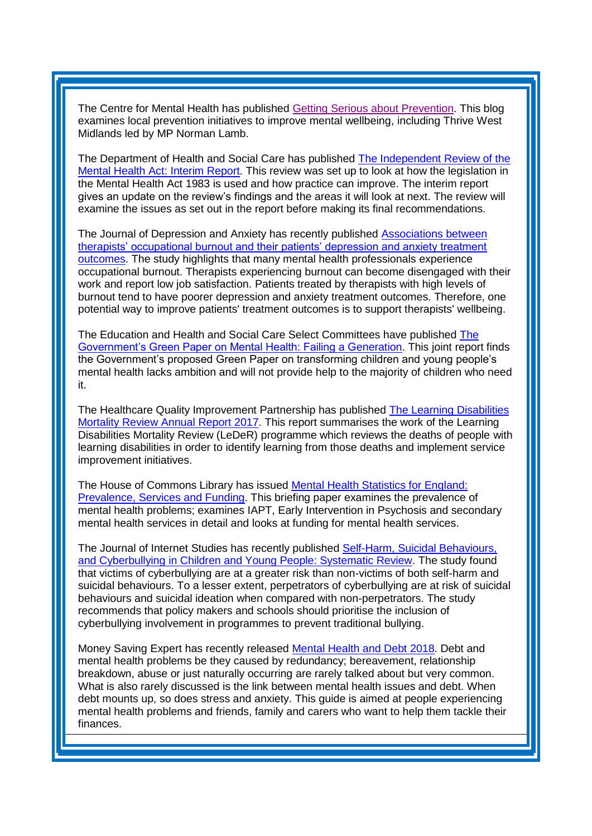The Centre for Mental Health has published [Getting Serious about Prevention.](https://www.centreformentalhealth.org.uk/blog/getting-serious-about-prevention) This blog examines local prevention initiatives to improve mental wellbeing, including Thrive West Midlands led by MP Norman Lamb.

The Department of Health and Social Care has published [The Independent Review of the](https://www.gov.uk/government/publications/independent-review-of-the-mental-health-act-interim-report)  [Mental Health Act: Interim Report.](https://www.gov.uk/government/publications/independent-review-of-the-mental-health-act-interim-report) This review was set up to look at how the legislation in the Mental Health Act 1983 is used and how practice can improve. The interim report gives an update on the review's findings and the areas it will look at next. The review will examine the issues as set out in the report before making its final recommendations.

The Journal of Depression and Anxiety has recently published [Associations between](https://onlinelibrary.wiley.com/doi/full/10.1002/da.22766)  [therapists' occupational burnout and their patients' depression and anxiety treatment](https://onlinelibrary.wiley.com/doi/full/10.1002/da.22766)  [outcomes.](https://onlinelibrary.wiley.com/doi/full/10.1002/da.22766) The study highlights that many mental health professionals experience occupational burnout. Therapists experiencing burnout can become disengaged with their work and report low job satisfaction. Patients treated by therapists with high levels of burnout tend to have poorer depression and anxiety treatment outcomes. Therefore, one potential way to improve patients' treatment outcomes is to support therapists' wellbeing.

The Education and Health and Social Care Select Committees have published [The](https://www.parliament.uk/business/committees/committees-a-z/commons-select/health-and-social-care-committee/news/green-paper-on-mental-health-report-published-17-19/)  [Government's Green Paper on Mental Health: Failing a Generation.](https://www.parliament.uk/business/committees/committees-a-z/commons-select/health-and-social-care-committee/news/green-paper-on-mental-health-report-published-17-19/) This joint report finds the Government's proposed Green Paper on transforming children and young people's mental health lacks ambition and will not provide help to the majority of children who need it.

The Healthcare Quality Improvement Partnership has published [The Learning Disabilities](https://www.hqip.org.uk/resource/the-learning-disabilities-mortality-review-annual-report-2017/#.WvFOlO8vxaR)  [Mortality Review Annual Report 2017.](https://www.hqip.org.uk/resource/the-learning-disabilities-mortality-review-annual-report-2017/#.WvFOlO8vxaR) This report summarises the work of the Learning Disabilities Mortality Review (LeDeR) programme which reviews the deaths of people with learning disabilities in order to identify learning from those deaths and implement service improvement initiatives.

The House of Commons Library has issued [Mental Health Statistics for England:](http://researchbriefings.parliament.uk/ResearchBriefing/Summary/SN06988)  [Prevalence, Services and Funding.](http://researchbriefings.parliament.uk/ResearchBriefing/Summary/SN06988) This briefing paper examines the prevalence of mental health problems; examines IAPT, Early Intervention in Psychosis and secondary mental health services in detail and looks at funding for mental health services.

The Journal of Internet Studies has recently published [Self-Harm, Suicidal Behaviours,](http://www.jmir.org/2018/4/e129/)  [and Cyberbullying in Children and Young People: Systematic Review.](http://www.jmir.org/2018/4/e129/) The study found that victims of cyberbullying are at a greater risk than non-victims of both self-harm and suicidal behaviours. To a lesser extent, perpetrators of cyberbullying are at risk of suicidal behaviours and suicidal ideation when compared with non-perpetrators. The study recommends that policy makers and schools should prioritise the inclusion of cyberbullying involvement in programmes to prevent traditional bullying.

Money Saving Expert has recently released [Mental Health and Debt 2018.](https://images6.moneysavingexpert.com/images/documents/mentalhealthguide_new_march_2018.pdf?_ga=2.38258730.848280185.1524747166-130019330.1514311438) Debt and mental health problems be they caused by redundancy; bereavement, relationship breakdown, abuse or just naturally occurring are rarely talked about but very common. What is also rarely discussed is the link between mental health issues and debt. When debt mounts up, so does stress and anxiety. This guide is aimed at people experiencing mental health problems and friends, family and carers who want to help them tackle their finances.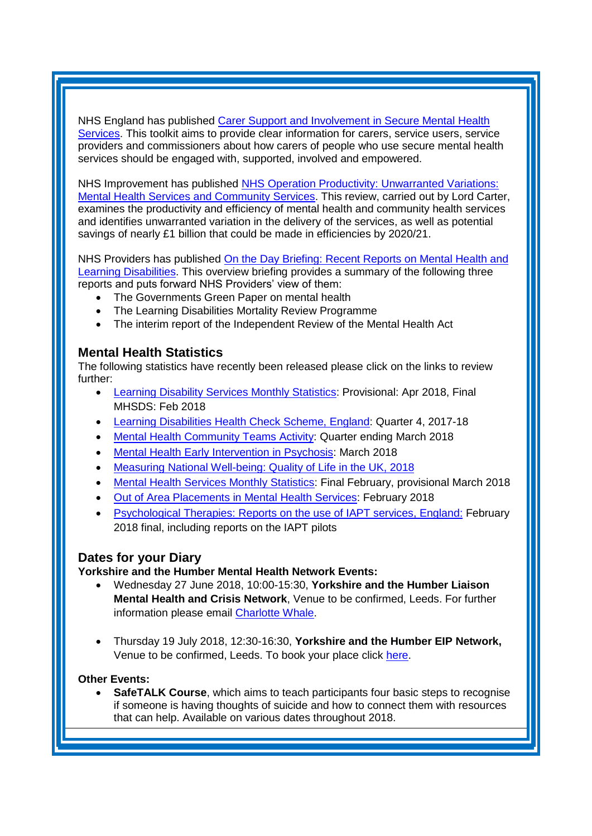NHS England has published [Carer Support and Involvement in Secure Mental](https://www.england.nhs.uk/publication/carer-support-and-involvement-in-secure-mental-health-services/) Health [Services.](https://www.england.nhs.uk/publication/carer-support-and-involvement-in-secure-mental-health-services/) This toolkit aims to provide clear information for carers, service users, service providers and commissioners about how carers of people who use secure mental health services should be engaged with, supported, involved and empowered.

NHS Improvement has published [NHS Operation Productivity: Unwarranted Variations:](https://improvement.nhs.uk/about-us/corporate-publications/publications/lord-carters-review-unwarranted-variations-mental-health-and-community-health-services/)  [Mental Health Services and Community Services.](https://improvement.nhs.uk/about-us/corporate-publications/publications/lord-carters-review-unwarranted-variations-mental-health-and-community-health-services/) This review, carried out by Lord Carter, examines the productivity and efficiency of mental health and community health services and identifies unwarranted variation in the delivery of the services, as well as potential savings of nearly £1 billion that could be made in efficiencies by 2020/21.

NHS Providers has published [On the Day Briefing: Recent Reports on Mental Health and](http://nhsproviders.org/resource-library/briefings/on-the-day-briefing-recent-reports-on-mental-health-and-learning-disabilities-provision)  [Learning Disabilities.](http://nhsproviders.org/resource-library/briefings/on-the-day-briefing-recent-reports-on-mental-health-and-learning-disabilities-provision) This overview briefing provides a summary of the following three reports and puts forward NHS Providers' view of them:

- The Governments Green Paper on mental health
- The Learning Disabilities Mortality Review Programme
- The interim report of the Independent Review of the Mental Health Act

# <span id="page-4-0"></span>**Mental Health Statistics**

The following statistics have recently been released please click on the links to review further:

- <span id="page-4-1"></span> [Learning Disability Services Monthly Statistics:](https://digital.nhs.uk/data-and-information/publications/statistical/learning-disability-services-statistics/learning-disability-services-monthly-statistics---provisional-statistics-at-april-2018-mhsds-february-2018-final) Provisional: Apr 2018, Final MHSDS: Feb 2018
- [Learning Disabilities Health Check Scheme, England:](https://digital.nhs.uk/data-and-information/publications/statistical/learning-disabilities-health-check-scheme/learning-disabilities-health-check-scheme-england-quarter-4-2017-18) Quarter 4, 2017-18
- [Mental Health Community Teams Activity:](https://www.gov.uk/government/statistics/mental-health-community-teams-activity-for-quarter-ending-march-2018) Quarter ending March 2018
- [Mental Health Early Intervention in](https://www.england.nhs.uk/statistics/statistical-work-areas/eip-waiting-times/) Psychosis: March 2018
- [Measuring National Well-being: Quality of Life in the UK, 2018](https://www.ons.gov.uk/peoplepopulationandcommunity/wellbeing/articles/measuringnationalwellbeing/qualityoflifeintheuk2018)
- [Mental Health Services Monthly Statistics:](https://digital.nhs.uk/data-and-information/publications/statistical/mental-health-services-monthly-statistics/mental-health-services-monthly-statistics-final-february-provisional-march-2018) Final February, provisional March 2018
- [Out of Area Placements in Mental](https://digital.nhs.uk/data-and-information/publications/statistical/out-of-area-placements-in-mental-health-services/out-of-area-placements-in-mental-health-services---february-2018) Health Services: February 2018
- [Psychological Therapies: Reports on the use of IAPT services, England:](https://digital.nhs.uk/data-and-information/publications/statistical/psychological-therapies-report-on-the-use-of-iapt-services/psychological-therapies-reports-on-the-use-of-iapt-services-england---february-2018-final-including-reports-on-the-iapt-pilots) February [2018 final, including reports on the IAPT pilots](https://digital.nhs.uk/data-and-information/publications/statistical/psychological-therapies-report-on-the-use-of-iapt-services/psychological-therapies-reports-on-the-use-of-iapt-services-england---february-2018-final-including-reports-on-the-iapt-pilots)

### **Dates for your Diary**

**Yorkshire and the Humber Mental Health Network Events:**

- Wednesday 27 June 2018, 10:00-15:30, **Yorkshire and the Humber Liaison Mental Health and Crisis Network**, Venue to be confirmed, Leeds. For further information please email [Charlotte Whale.](mailto:charlotte.whale@nhs.net)
- Thursday 19 July 2018, 12:30-16:30, **Yorkshire and the Humber EIP Network,**  Venue to be confirmed, Leeds. To book your place click [here.](https://www.eventbrite.co.uk/e/yorkshire-and-the-humber-eip-network-tickets-45024425268)

#### **Other Events:**

 **SafeTALK Course**, which aims to teach participants four basic steps to recognise if someone is having thoughts of suicide and how to connect them with resources that can help. Available on various dates throughout 2018.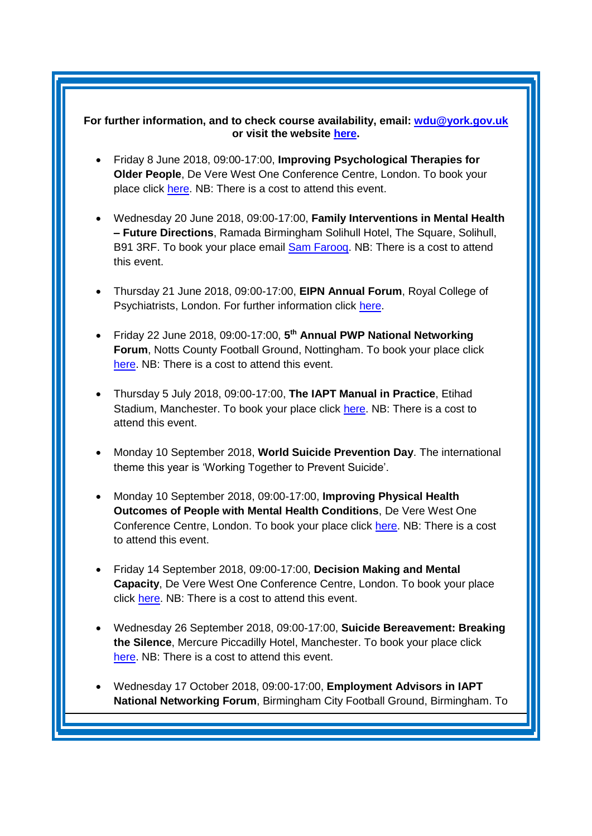#### **For further information, and to check course availability, email: [wdu@york.gov.uk](mailto:wdu@york.gov.uk) or visit the website [here.](http://www.yorkworkforcedevelopment.org.uk/)**

- Friday 8 June 2018, 09:00-17:00, **Improving Psychological Therapies for Older People**, De Vere West One Conference Centre, London. To book your place click [here.](https://www.healthcareconferencesuk.co.uk/event/1297/book) NB: There is a cost to attend this event.
- Wednesday 20 June 2018, 09:00-17:00, **Family Interventions in Mental Health – Future Directions**, Ramada Birmingham Solihull Hotel, The Square, Solihull, B91 3RF. To book your place email [Sam Farooq.](mailto:samfarooq@nhs.net) NB: There is a cost to attend this event.
- Thursday 21 June 2018, 09:00-17:00, **EIPN Annual Forum**, Royal College of Psychiatrists, London. For further information click [here.](http://www.rcpysch.ac.uk/eipn)
- Friday 22 June 2018, 09:00-17:00, **5 th Annual PWP National Networking Forum**, Notts County Football Ground, Nottingham. To book your place click [here.](http://www.iapt-nnf.co.uk/Home/ViewEvent/87?utm_source=SBK%20Healthcare&utm_medium=email&utm_campaign=8995560_1856PT%201st%20email&dm_i=1SB0,5CT0O,MCTTTA,KP5GK,1) NB: There is a cost to attend this event.
- Thursday 5 July 2018, 09:00-17:00, **The IAPT Manual in Practice**, Etihad Stadium, Manchester. To book your place click [here.](http://www.sbk-healthcare.co.uk/home/title/2321/nhsconference/the-iapt-manual-in-practice/) NB: There is a cost to attend this event.
- Monday 10 September 2018, **World Suicide Prevention Day**. The international theme this year is 'Working Together to Prevent Suicide'.
- Monday 10 September 2018, 09:00-17:00, **Improving Physical Health Outcomes of People with Mental Health Conditions**, De Vere West One Conference Centre, London. To book your place click [here.](https://www.healthcareconferencesuk.co.uk/event/1391/book) NB: There is a cost to attend this event.
- Friday 14 September 2018, 09:00-17:00, **Decision Making and Mental Capacity**, De Vere West One Conference Centre, London. To book your place click [here.](https://www.healthcareconferencesuk.co.uk/event/1360/book) NB: There is a cost to attend this event.
- Wednesday 26 September 2018, 09:00-17:00, **Suicide Bereavement: Breaking the Silence**, Mercure Piccadilly Hotel, Manchester. To book your place click [here.](https://suicidebereavementuk.com/suicide-bereavement-conference) NB: There is a cost to attend this event.
- Wednesday 17 October 2018, 09:00-17:00, **Employment Advisors in IAPT National Networking Forum**, Birmingham City Football Ground, Birmingham. To